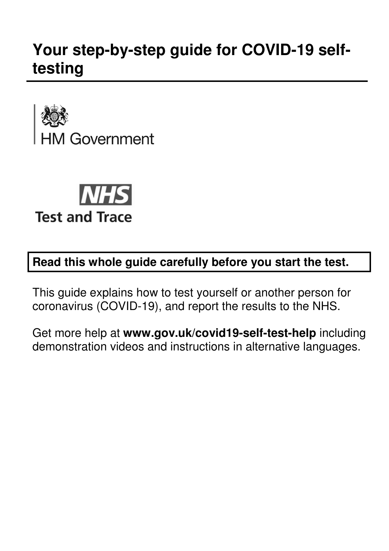# **Your step-by-step guide for COVID-19 selftesting**





#### **Read this whole guide carefully before you start the test.**

This guide explains how to test yourself or another person for coronavirus (COVID-19), and report the results to the NHS.

Get more help at **www.gov.uk/covid19-self-test-help** including demonstration videos and instructions in alternative languages.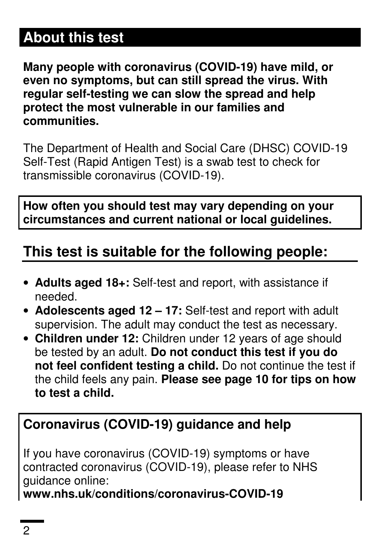# **About this test**

**Many people with coronavirus (COVID-19) have mild, or even no symptoms, but can still spread the virus. With regular self-testing we can slow the spread and help protect the most vulnerable in our families and communities.** 

The Department of Health and Social Care (DHSC) COVID-19 Self-Test (Rapid Antigen Test) is a swab test to check for transmissible coronavirus (COVID-19).

**How often you should test may vary depending on your circumstances and current national or local guidelines.** 

### **This test is suitable for the following people:**

- **Adults aged 18+:** Self-test and report, with assistance if needed.
- **Adolescents aged 12 17:** Self-test and report with adult supervision. The adult may conduct the test as necessary.
- **Children under 12:** Children under 12 years of age should be tested by an adult. **Do not conduct this test if you do not feel confident testing a child.** Do not continue the test if the child feels any pain. **Please see page 10 for tips on how to test a child.**

### **Coronavirus (COVID-19) guidance and help**

If you have coronavirus (COVID-19) symptoms or have contracted coronavirus (COVID-19), please refer to NHS guidance online:

**www.nhs.uk/conditions/coronavirus-COVID-19**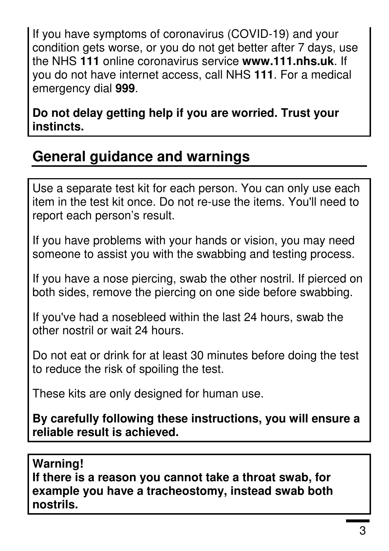If you have symptoms of coronavirus (COVID-19) and your condition gets worse, or you do not get better after 7 days, use the NHS **111** online coronavirus service **www.111.nhs.uk**. If you do not have internet access, call NHS **111**. For a medical emergency dial **999**.

**Do not delay getting help if you are worried. Trust your instincts.** 

### **General guidance and warnings**

Use a separate test kit for each person. You can only use each item in the test kit once. Do not re-use the items. You'll need to report each person's result.

If you have problems with your hands or vision, you may need someone to assist you with the swabbing and testing process.

If you have a nose piercing, swab the other nostril. If pierced on both sides, remove the piercing on one side before swabbing.

If you've had a nosebleed within the last 24 hours, swab the other nostril or wait 24 hours.

Do not eat or drink for at least 30 minutes before doing the test to reduce the risk of spoiling the test.

These kits are only designed for human use.

**By carefully following these instructions, you will ensure a reliable result is achieved.** 

#### **Warning!**

**If there is a reason you cannot take a throat swab, for example you have a tracheostomy, instead swab both nostrils.**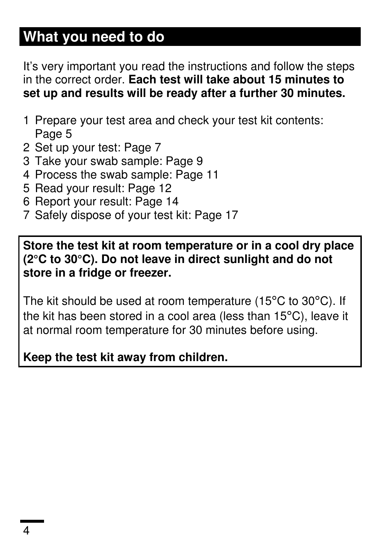### **What you need to do**

It's very important you read the instructions and follow the steps in the correct order. **Each test will take about 15 minutes to set up and results will be ready after a further 30 minutes.**

- 1 Prepare your test area and check your test kit contents: Page 5
- 2 Set up your test: Page 7
- 3 Take your swab sample: Page 9
- 4 Process the swab sample: Page 11
- 5 Read your result: Page 12
- 6 Report your result: Page 14
- 7 Safely dispose of your test kit: Page 17

#### **Store the test kit at room temperature or in a cool dry place (2°C to 30°C). Do not leave in direct sunlight and do not store in a fridge or freezer.**

The kit should be used at room temperature (15°C to 30°C). If the kit has been stored in a cool area (less than 15°C), leave it at normal room temperature for 30 minutes before using.

#### **Keep the test kit away from children.**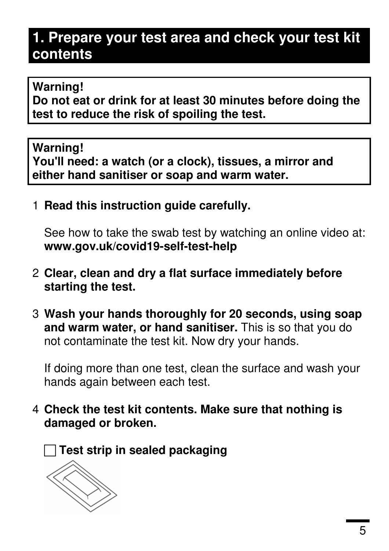### **1. Prepare your test area and check your test kit contents**

#### **Warning!**

**Do not eat or drink for at least 30 minutes before doing the test to reduce the risk of spoiling the test.** 

#### **Warning!**

**You'll need: a watch (or a clock), tissues, a mirror and either hand sanitiser or soap and warm water.** 

1 **Read this instruction guide carefully.**

See how to take the swab test by watching an online video at: **www.gov.uk/covid19-self-test-help**

- 2 **Clear, clean and dry a flat surface immediately before starting the test.**
- 3 **Wash your hands thoroughly for 20 seconds, using soap and warm water, or hand sanitiser.** This is so that you do not contaminate the test kit. Now dry your hands.

If doing more than one test, clean the surface and wash your hands again between each test.

4 **Check the test kit contents. Make sure that nothing is damaged or broken.** 

**Test strip in sealed packaging**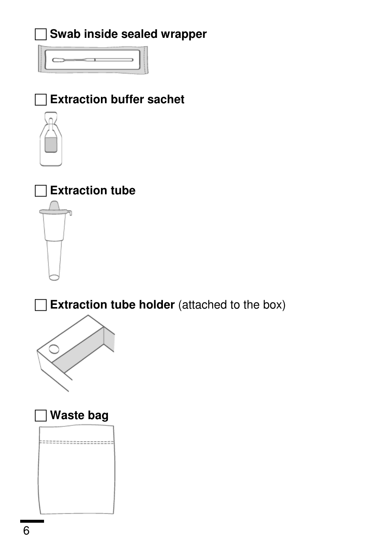**Swab inside sealed wrapper**



### **Extraction buffer sachet**



### **Extraction tube**

**Extraction tube holder** (attached to the box)



 **Waste bag**--------------------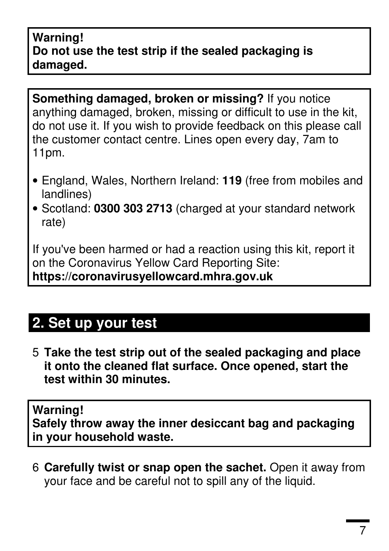#### **Warning! Do not use the test strip if the sealed packaging is damaged.**

**Something damaged, broken or missing?** If you notice anything damaged, broken, missing or difficult to use in the kit, do not use it. If you wish to provide feedback on this please call the customer contact centre. Lines open every day, 7am to 11pm.

- England, Wales, Northern Ireland: **119** (free from mobiles and landlines)
- Scotland: **0300 303 2713** (charged at your standard network rate)

If you've been harmed or had a reaction using this kit, report it on the Coronavirus Yellow Card Reporting Site: **https://coronavirusyellowcard.mhra.gov.uk** 

### **2. Set up your test**

5 **Take the test strip out of the sealed packaging and place it onto the cleaned flat surface. Once opened, start the test within 30 minutes.**

#### **Warning!**

**Safely throw away the inner desiccant bag and packaging in your household waste.** 

6 **Carefully twist or snap open the sachet.** Open it away from your face and be careful not to spill any of the liquid.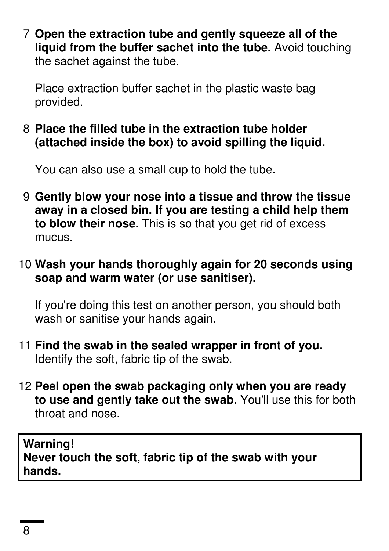7 **Open the extraction tube and gently squeeze all of the liquid from the buffer sachet into the tube.** Avoid touching the sachet against the tube.

Place extraction buffer sachet in the plastic waste bag provided.

8 **Place the filled tube in the extraction tube holder (attached inside the box) to avoid spilling the liquid.** 

You can also use a small cup to hold the tube.

- 9 **Gently blow your nose into a tissue and throw the tissue away in a closed bin. If you are testing a child help them to blow their nose.** This is so that you get rid of excess mucus.
- 10 **Wash your hands thoroughly again for 20 seconds using soap and warm water (or use sanitiser).**

If you're doing this test on another person, you should both wash or sanitise your hands again.

- 11 **Find the swab in the sealed wrapper in front of you.** Identify the soft, fabric tip of the swab.
- 12 **Peel open the swab packaging only when you are ready to use and gently take out the swab.** You'll use this for both throat and nose.

**Warning! Never touch the soft, fabric tip of the swab with your hands.**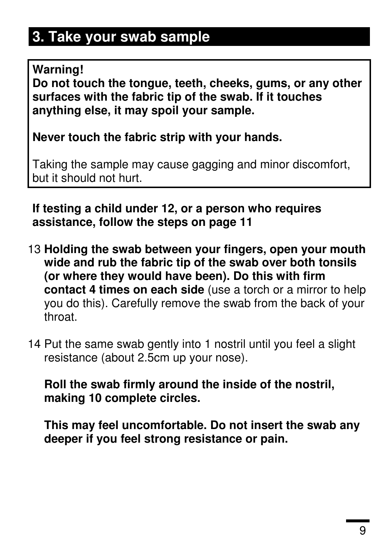### **3. Take your swab sample**

#### **Warning!**

**Do not touch the tongue, teeth, cheeks, gums, or any other surfaces with the fabric tip of the swab. If it touches anything else, it may spoil your sample.** 

**Never touch the fabric strip with your hands.** 

Taking the sample may cause gagging and minor discomfort, but it should not hurt.

#### **If testing a child under 12, or a person who requires assistance, follow the steps on page 11**

- 13 **Holding the swab between your fingers, open your mouth wide and rub the fabric tip of the swab over both tonsils (or where they would have been). Do this with firm contact 4 times on each side** (use a torch or a mirror to help you do this). Carefully remove the swab from the back of your throat.
- 14 Put the same swab gently into 1 nostril until you feel a slight resistance (about 2.5cm up your nose).

**Roll the swab firmly around the inside of the nostril, making 10 complete circles.** 

**This may feel uncomfortable. Do not insert the swab any deeper if you feel strong resistance or pain.**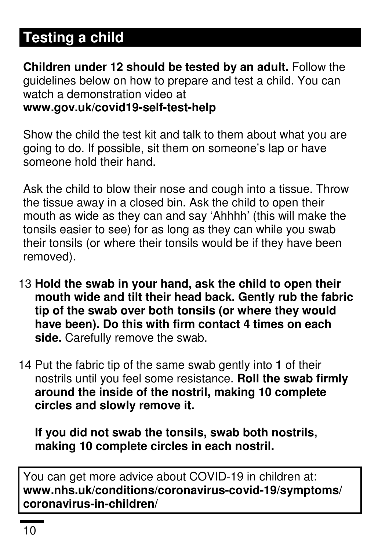# **Testing a child**

**Children under 12 should be tested by an adult.** Follow the guidelines below on how to prepare and test a child. You can watch a demonstration video at **www.gov.uk/covid19-self-test-help** 

Show the child the test kit and talk to them about what you are going to do. If possible, sit them on someone's lap or have someone hold their hand.

Ask the child to blow their nose and cough into a tissue. Throw the tissue away in a closed bin. Ask the child to open their mouth as wide as they can and say 'Ahhhh' (this will make the tonsils easier to see) for as long as they can while you swab their tonsils (or where their tonsils would be if they have been removed).

- 13 **Hold the swab in your hand, ask the child to open their mouth wide and tilt their head back. Gently rub the fabric tip of the swab over both tonsils (or where they would have been). Do this with firm contact 4 times on each side.** Carefully remove the swab.
- 14 Put the fabric tip of the same swab gently into **1** of their nostrils until you feel some resistance. **Roll the swab firmly around the inside of the nostril, making 10 complete circles and slowly remove it.**

**If you did not swab the tonsils, swab both nostrils, making 10 complete circles in each nostril.**

You can get more advice about COVID-19 in children at: **www.nhs.uk/conditions/coronavirus-covid-19/symptoms/ coronavirus-in-children/**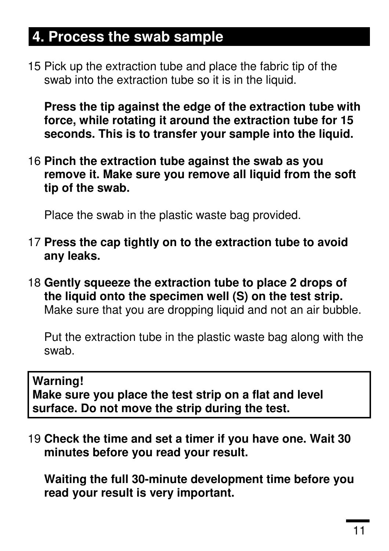### **4. Process the swab sample**

15 Pick up the extraction tube and place the fabric tip of the swab into the extraction tube so it is in the liquid.

**Press the tip against the edge of the extraction tube with force, while rotating it around the extraction tube for 15 seconds. This is to transfer your sample into the liquid.**

16 **Pinch the extraction tube against the swab as you remove it. Make sure you remove all liquid from the soft tip of the swab.** 

Place the swab in the plastic waste bag provided.

- 17 **Press the cap tightly on to the extraction tube to avoid any leaks.**
- 18 **Gently squeeze the extraction tube to place 2 drops of the liquid onto the specimen well (S) on the test strip.**  Make sure that you are dropping liquid and not an air bubble.

Put the extraction tube in the plastic waste bag along with the swab.

#### **Warning!**

**Make sure you place the test strip on a flat and level surface. Do not move the strip during the test.** 

19 **Check the time and set a timer if you have one. Wait 30 minutes before you read your result.** 

**Waiting the full 30-minute development time before you read your result is very important.**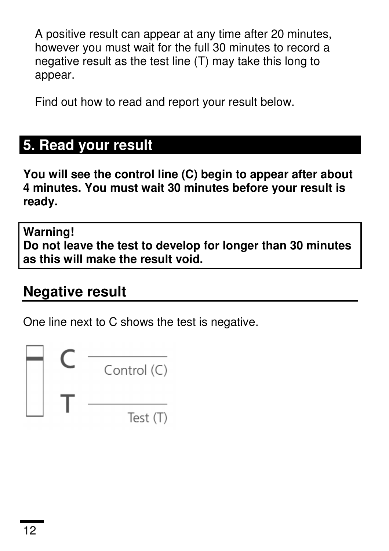A positive result can appear at any time after 20 minutes, however you must wait for the full 30 minutes to record a negative result as the test line (T) may take this long to appear.

Find out how to read and report your result below.

### **5. Read your result**

**You will see the control line (C) begin to appear after about 4 minutes. You must wait 30 minutes before your result is ready.** 

#### **Warning!**

**Do not leave the test to develop for longer than 30 minutes as this will make the result void.** 

### **Negative result**

One line next to C shows the test is negative.

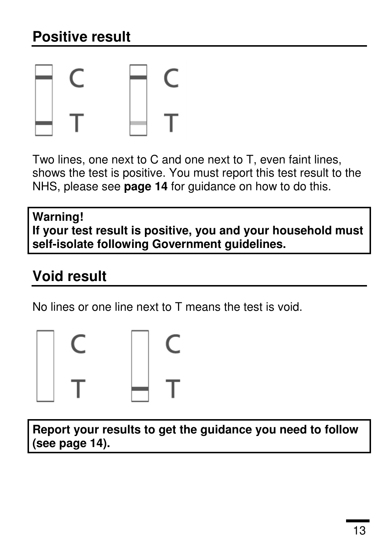# **Positive result**



Two lines, one next to C and one next to T, even faint lines, shows the test is positive. You must report this test result to the NHS, please see **page 14** for guidance on how to do this.

#### **Warning! If your test result is positive, you and your household must self-isolate following Government guidelines.**

## **Void result**

No lines or one line next to T means the test is void.



**Report your results to get the guidance you need to follow (see page 14).**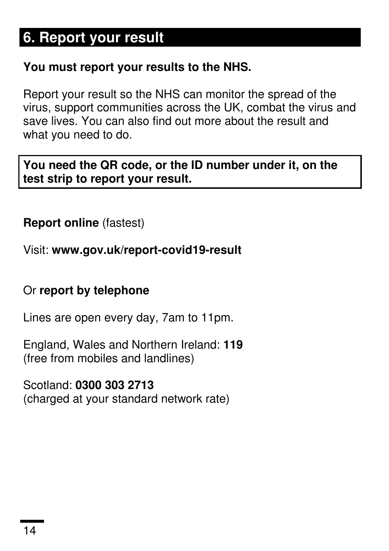## **6. Report your result**

#### **You must report your results to the NHS.**

Report your result so the NHS can monitor the spread of the virus, support communities across the UK, combat the virus and save lives. You can also find out more about the result and what you need to do.

**You need the QR code, or the ID number under it, on the test strip to report your result.** 

#### **Report online** (fastest)

Visit: **www.gov.uk/report-covid19-result** 

#### Or **report by telephone**

Lines are open every day, 7am to 11pm.

England, Wales and Northern Ireland: **119** (free from mobiles and landlines)

Scotland: **0300 303 2713**  (charged at your standard network rate)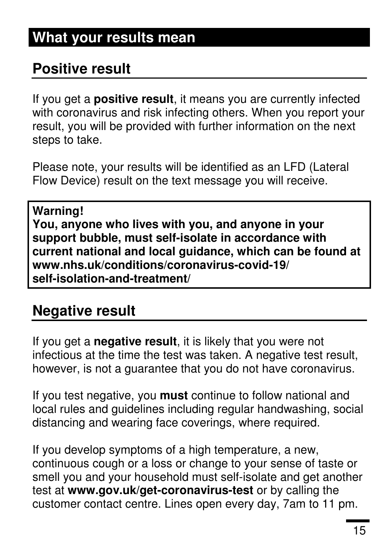## **Positive result**

If you get a **positive result**, it means you are currently infected with coronavirus and risk infecting others. When you report your result, you will be provided with further information on the next steps to take.

Please note, your results will be identified as an LFD (Lateral Flow Device) result on the text message you will receive.

**Warning! You, anyone who lives with you, and anyone in your support bubble, must self-isolate in accordance with current national and local guidance, which can be found at www.nhs.uk/conditions/coronavirus-covid-19/ self-isolation-and-treatment/** 

### **Negative result**

If you get a **negative result**, it is likely that you were not infectious at the time the test was taken. A negative test result, however, is not a guarantee that you do not have coronavirus.

If you test negative, you **must** continue to follow national and local rules and guidelines including regular handwashing, social distancing and wearing face coverings, where required.

If you develop symptoms of a high temperature, a new, continuous cough or a loss or change to your sense of taste or smell you and your household must self-isolate and get another test at **www.gov.uk/get-coronavirus-test** or by calling the customer contact centre. Lines open every day, 7am to 11 pm.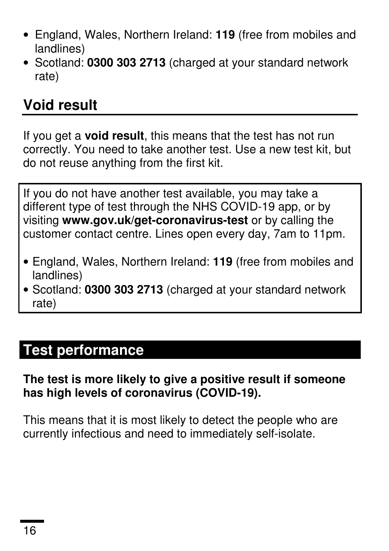- England, Wales, Northern Ireland: **119** (free from mobiles and landlines)
- Scotland: **0300 303 2713** (charged at your standard network rate)

## **Void result**

If you get a **void result**, this means that the test has not run correctly. You need to take another test. Use a new test kit, but do not reuse anything from the first kit.

If you do not have another test available, you may take a different type of test through the NHS COVID-19 app, or by visiting **www.gov.uk/get-coronavirus-test** or by calling the customer contact centre. Lines open every day, 7am to 11pm.

- England, Wales, Northern Ireland: **119** (free from mobiles and landlines)
- Scotland: **0300 303 2713** (charged at your standard network rate)

### **Test performance**

#### **The test is more likely to give a positive result if someone has high levels of coronavirus (COVID-19).**

This means that it is most likely to detect the people who are currently infectious and need to immediately self-isolate.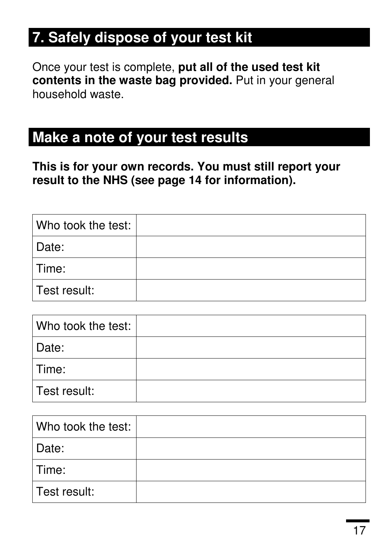## **7. Safely dispose of your test kit**

Once your test is complete, **put all of the used test kit contents in the waste bag provided.** Put in your general household waste.

### **Make a note of your test results**

**This is for your own records. You must still report your result to the NHS (see page 14 for information).** 

| Who took the test: |  |
|--------------------|--|
| Date:              |  |
| ∣Time:             |  |
| Test result:       |  |

| Who took the test: |  |
|--------------------|--|
| Date:              |  |
| Time:              |  |
| Test result:       |  |

| Who took the test: |  |
|--------------------|--|
| Date:              |  |
| ∣Time:             |  |
| Test result:       |  |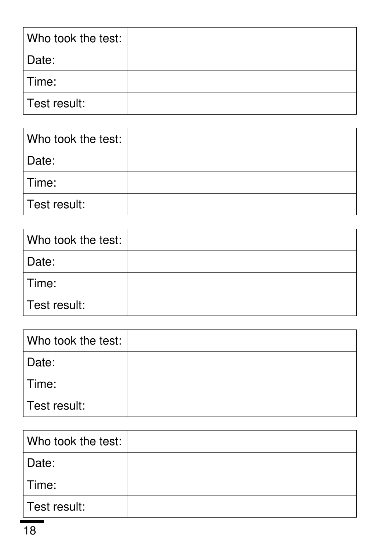| Who took the test: |  |
|--------------------|--|
| Date:              |  |
| Time:              |  |
| Test result:       |  |

| Who took the test: |  |
|--------------------|--|
| Date:              |  |
| ∣Time:             |  |
| Test result:       |  |

| Who took the test: |  |
|--------------------|--|
| Date:              |  |
| ∣Time:             |  |
| Test result:       |  |

| Who took the test: |  |
|--------------------|--|
| Date:              |  |
| ∣Time:             |  |
| Test result:       |  |

| Who took the test: |  |
|--------------------|--|
| Date:              |  |
| Time:              |  |
| Test result:       |  |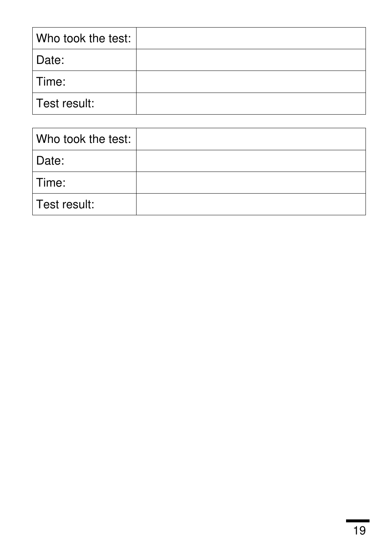| Who took the test: |  |
|--------------------|--|
| Date:              |  |
| ∣Time:             |  |
| Test result:       |  |

| Who took the test: |  |
|--------------------|--|
| Date:              |  |
| Time:              |  |
| Test result:       |  |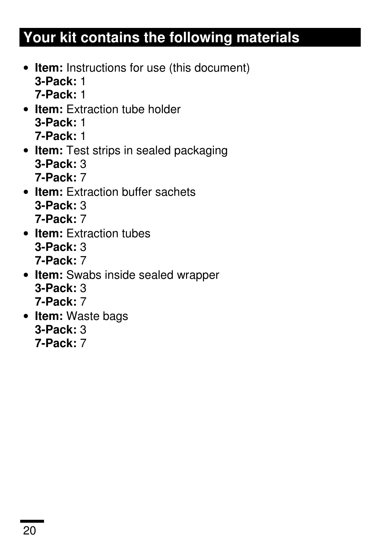# **Your kit contains the following materials**

- **Item:** Instructions for use (this document) **3-Pack:** 1 **7-Pack:** 1
- Item: Extraction tube holder **3-Pack:** 1 **7-Pack:** 1
- **Item:** Test strips in sealed packaging **3-Pack:** 3 **7-Pack:** 7
- **Item:** Extraction buffer sachets **3-Pack:** 3 **7-Pack:** 7
- **Item:** Extraction tubes **3-Pack:** 3 **7-Pack:** 7
- **Item:** Swabs inside sealed wrapper **3-Pack:** 3 **7-Pack:** 7
- **Item:** Waste bags **3-Pack:** 3 **7-Pack:** 7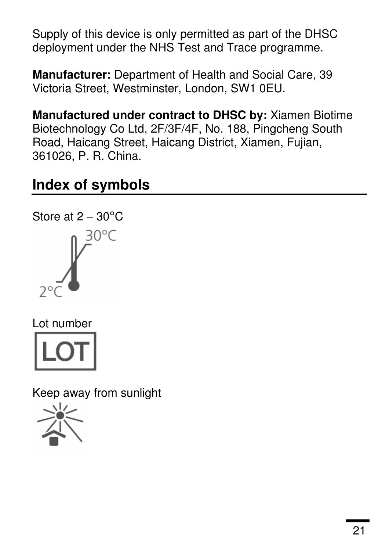Supply of this device is only permitted as part of the DHSC deployment under the NHS Test and Trace programme.

**Manufacturer:** Department of Health and Social Care, 39 Victoria Street, Westminster, London, SW1 0EU.

**Manufactured under contract to DHSC by:** Xiamen Biotime Biotechnology Co Ltd, 2F/3F/4F, No. 188, Pingcheng South Road, Haicang Street, Haicang District, Xiamen, Fujian, 361026, P. R. China.

## **Index of symbols**



Lot number



Keep away from sunlight

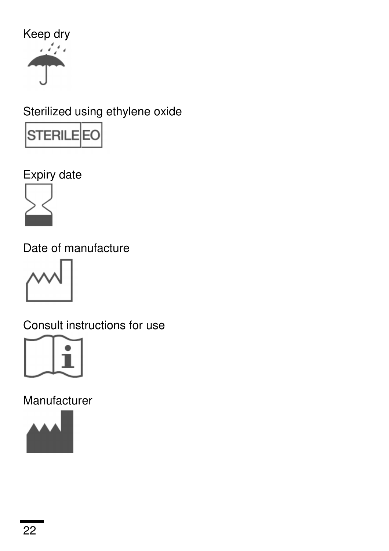

Sterilized using ethylene oxide



Expiry date



Date of manufacture



Consult instructions for use



Manufacturer

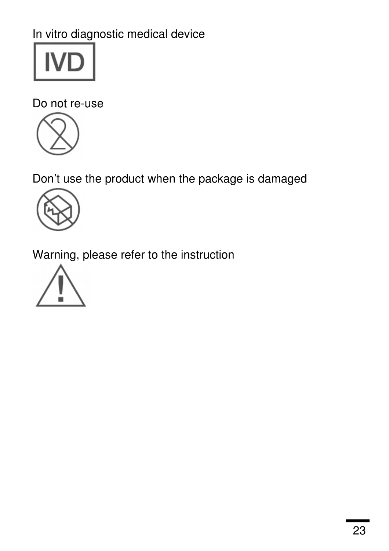In vitro diagnostic medical device



Do not re-use



Don't use the product when the package is damaged



Warning, please refer to the instruction